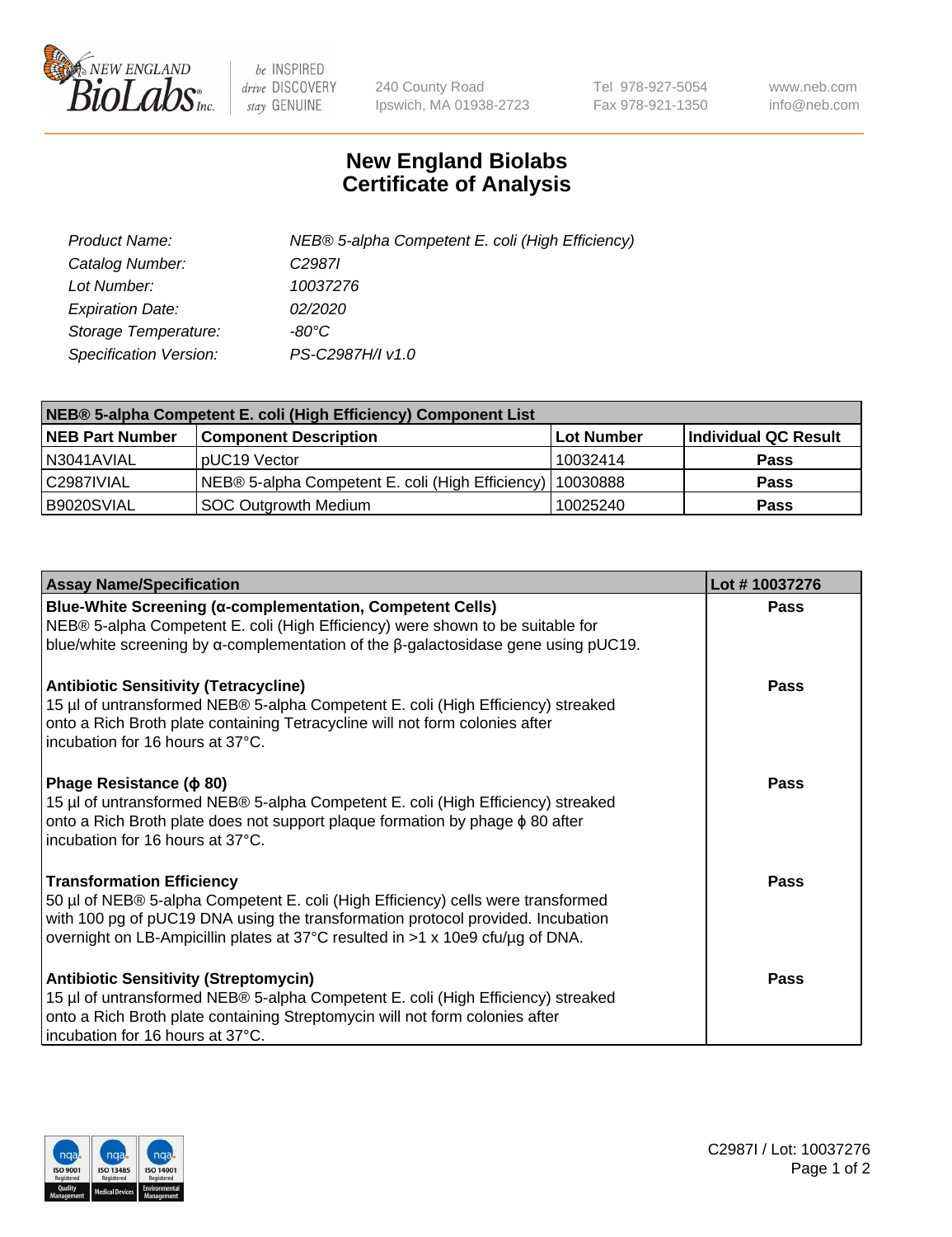

 $be$  INSPIRED drive DISCOVERY stay GENUINE

240 County Road Ipswich, MA 01938-2723 Tel 978-927-5054 Fax 978-921-1350 www.neb.com info@neb.com

## **New England Biolabs Certificate of Analysis**

| Product Name:           | NEB® 5-alpha Competent E. coli (High Efficiency) |
|-------------------------|--------------------------------------------------|
| Catalog Number:         | C <sub>2987</sub>                                |
| Lot Number:             | 10037276                                         |
| <b>Expiration Date:</b> | <i>02/2020</i>                                   |
| Storage Temperature:    | -80°C                                            |
| Specification Version:  | PS-C2987H/I v1.0                                 |

| NEB® 5-alpha Competent E. coli (High Efficiency) Component List |                                                  |            |                      |  |
|-----------------------------------------------------------------|--------------------------------------------------|------------|----------------------|--|
| <b>NEB Part Number</b>                                          | <b>Component Description</b>                     | Lot Number | Individual QC Result |  |
| N3041AVIAL                                                      | pUC19 Vector                                     | 10032414   | <b>Pass</b>          |  |
| C2987IVIAL                                                      | NEB® 5-alpha Competent E. coli (High Efficiency) | 10030888   | <b>Pass</b>          |  |
| B9020SVIAL                                                      | <b>SOC Outgrowth Medium</b>                      | 10025240   | <b>Pass</b>          |  |

| <b>Assay Name/Specification</b>                                                                                                                                                                                                                                                           | Lot #10037276 |
|-------------------------------------------------------------------------------------------------------------------------------------------------------------------------------------------------------------------------------------------------------------------------------------------|---------------|
| Blue-White Screening (α-complementation, Competent Cells)<br>NEB® 5-alpha Competent E. coli (High Efficiency) were shown to be suitable for<br>blue/white screening by $\alpha$ -complementation of the $\beta$ -galactosidase gene using pUC19.                                          | Pass          |
| <b>Antibiotic Sensitivity (Tetracycline)</b><br>15 µl of untransformed NEB® 5-alpha Competent E. coli (High Efficiency) streaked<br>onto a Rich Broth plate containing Tetracycline will not form colonies after<br>incubation for 16 hours at 37°C.                                      | Pass          |
| Phage Resistance ( $\phi$ 80)<br>15 µl of untransformed NEB® 5-alpha Competent E. coli (High Efficiency) streaked<br>onto a Rich Broth plate does not support plaque formation by phage $\phi$ 80 after<br>incubation for 16 hours at 37°C.                                               | Pass          |
| <b>Transformation Efficiency</b><br>50 µl of NEB® 5-alpha Competent E. coli (High Efficiency) cells were transformed<br>with 100 pg of pUC19 DNA using the transformation protocol provided. Incubation<br>overnight on LB-Ampicillin plates at 37°C resulted in >1 x 10e9 cfu/µg of DNA. | Pass          |
| <b>Antibiotic Sensitivity (Streptomycin)</b><br>15 µl of untransformed NEB® 5-alpha Competent E. coli (High Efficiency) streaked<br>onto a Rich Broth plate containing Streptomycin will not form colonies after<br>incubation for 16 hours at 37°C.                                      | Pass          |